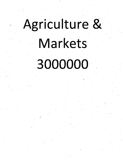# Agriculture & Markets

## 3000000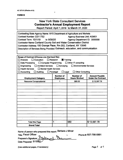### **FORM B**

## New York State Consultant Services **Contractor's Annual Employment Report**

Report Period; April 1,2019 to March 31,2020

| Contracting State Agency Name: NYS Department of Agriculture and Markets       |                              |                                    |                           |
|--------------------------------------------------------------------------------|------------------------------|------------------------------------|---------------------------|
| Contract Number: C011752                                                       |                              | <b>Agency Business Unit: AGM01</b> |                           |
| Contract Term: 10/1/19<br>to 9/30/20                                           |                              | Agency Department ID: 3000000      |                           |
| <b>Contractor Name: Cortland County Soil and Water Conservation District</b>   |                              |                                    |                           |
| Contractor Address: 100 Grange Place, Rm 202, Cortland, NY 13045               |                              |                                    |                           |
| Description of Services Being Provided: Outreach, education, and communication |                              |                                    |                           |
|                                                                                |                              |                                    |                           |
|                                                                                |                              |                                    |                           |
| Scope of Contract (Choose one that best fits):                                 |                              |                                    |                           |
| $\Box$ Analysis<br>$\Box$ Evaluation                                           | Research<br><b>Training</b>  |                                    |                           |
| Data Processing<br>□ Computer Programming                                      |                              | $\Box$ Other IT consulting         |                           |
| Engineering<br>Architect Services                                              | $\Box$ Surveying             | <b>Environmental Services</b>      |                           |
| <b>Health Services</b><br>Mental Health Services                               |                              |                                    |                           |
| Accounting<br>$\Box$ Auditing                                                  | Paralegal<br>$\square$ Legal | <b>Other Consulting</b>            |                           |
|                                                                                | <b>Number of</b>             | <b>Number of</b>                   | <b>Amount Payable</b>     |
| <b>Employment Category</b>                                                     | <b>Employees</b>             | <b>Hours Worked</b>                | <b>Under the Contract</b> |
| <b>Resource Conservationist</b>                                                | 1                            | 560.00                             | \$13,597.78               |
|                                                                                |                              |                                    |                           |
|                                                                                |                              |                                    |                           |
|                                                                                |                              |                                    |                           |
|                                                                                |                              |                                    |                           |
|                                                                                |                              |                                    |                           |
|                                                                                |                              |                                    |                           |
|                                                                                |                              |                                    |                           |
|                                                                                |                              |                                    |                           |
|                                                                                |                              |                                    |                           |
|                                                                                |                              |                                    |                           |
|                                                                                |                              |                                    |                           |
|                                                                                |                              |                                    |                           |
|                                                                                |                              |                                    |                           |
|                                                                                |                              |                                    |                           |
| <b>Total this Page</b>                                                         | 1                            | 560                                | \$13,597.78               |

Name of person who prepared this report: Barbara J Miner

Title: Fiscal Officer Preparer's Signature: \\\\\\\ Date Prepared: 5/15/20

Phone #: 607-756-5991

(Use additional pages, if necessary) example 2 and 2 and 2 and 2 and 2 and 2 and 2 and 2 and 2 and 2 and 2 and 2 and 2 and 2 and 2 and 2 and 2 and 2 and 2 and 2 and 2 and 2 and 2 and 2 and 2 and 2 and 2 and 2 and 2 and 2 a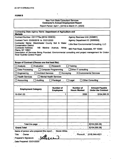### **FORM B**

 $\ddot{\phantom{0}}$ 

### New York State Consultant Services **Contractor's Annual Employment Report**

 $\bar{t}$ 

 $\sum_{\alpha\in\mathbb{Z}}\alpha_{\alpha\beta}$ 

Report Period; April 1, [2019] to March 31, [2020]

| Contracting State Agency Name: Department of Agriculture and<br><b>Markets</b>                                                                                                                                                        |                                      |                                                                                                                                                            |                                                    |
|---------------------------------------------------------------------------------------------------------------------------------------------------------------------------------------------------------------------------------------|--------------------------------------|------------------------------------------------------------------------------------------------------------------------------------------------------------|----------------------------------------------------|
| Contract Number: C011775a (2018-1SWCD)<br>Contract Term: 03/30/2018 to 03/31/2020<br>Contractor Name: Westchester County Soil & Water<br><b>Conservation District</b><br><b>Contractor Address:</b><br>148<br><b>Plains, NY 10601</b> | Martine Avenue,<br>White             | <b>Agency Business Unit: [AGM01]</b><br>Agency Department ID: [3000000]<br>Little Bear Environmental Consulting, LLC<br>960 Post Road, Scarsdale, NY 10583 |                                                    |
| Description of Services Being Provided: Environmental consulting and project management for Croton<br><b>River Hydrilla Control Project</b><br>Scope of Contract (Choose one that best fits):                                         |                                      |                                                                                                                                                            |                                                    |
|                                                                                                                                                                                                                                       | Research                             |                                                                                                                                                            |                                                    |
| <b>Analysis</b><br>Evaluation                                                                                                                                                                                                         |                                      | Training                                                                                                                                                   |                                                    |
| Data Processing                                                                                                                                                                                                                       | <b>Computer Programming</b>          | $\Box$ Other IT consulting                                                                                                                                 |                                                    |
| <b>Architect Services</b><br>Engineering                                                                                                                                                                                              | Surveying                            |                                                                                                                                                            | <b>X Environmental Services</b>                    |
| <b>Health Services</b>                                                                                                                                                                                                                | <b>Mental Health Services</b>        |                                                                                                                                                            |                                                    |
| Accounting<br><b>Auditing</b>                                                                                                                                                                                                         | Paralegal                            | Legal                                                                                                                                                      | <b>Other Consulting</b>                            |
|                                                                                                                                                                                                                                       |                                      |                                                                                                                                                            |                                                    |
| - 55<br><b>Employment Category</b>                                                                                                                                                                                                    | <b>Number of</b><br><b>Employees</b> | <b>Number of</b><br><b>Hours Worked</b>                                                                                                                    | <b>Amount Payable</b><br><b>Under the Contract</b> |
| 19-2041.00                                                                                                                                                                                                                            | 1                                    | 2056                                                                                                                                                       | \$104,095.28                                       |
|                                                                                                                                                                                                                                       |                                      |                                                                                                                                                            |                                                    |
| Total this page                                                                                                                                                                                                                       |                                      |                                                                                                                                                            | \$[104,095.28]                                     |
|                                                                                                                                                                                                                                       |                                      |                                                                                                                                                            |                                                    |
| <b>Grand</b> Total                                                                                                                                                                                                                    |                                      |                                                                                                                                                            | \$[104,095.28]                                     |
| Name of person who prepared this report:<br>Title: Owner                                                                                                                                                                              | Nicole White                         |                                                                                                                                                            | Phone # (518) 944-4021                             |
| Preparer's Signature:<br>Date Prepared: 03/31/2020                                                                                                                                                                                    |                                      |                                                                                                                                                            |                                                    |

 $\hat{\mathcal{A}}$ 

 $\ddot{\phantom{1}}$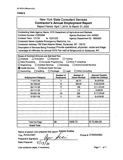### **FORMB .**

|                                                                                                                                                                                                                                                                                                                                                                                                                                                  |                                                                       | <b>New York State Consultant Services</b><br><b>Contractor's Annual Employment Report</b><br>Report Period: April 1, 2019 to March 31, 2020 |             |  |
|--------------------------------------------------------------------------------------------------------------------------------------------------------------------------------------------------------------------------------------------------------------------------------------------------------------------------------------------------------------------------------------------------------------------------------------------------|-----------------------------------------------------------------------|---------------------------------------------------------------------------------------------------------------------------------------------|-------------|--|
| Contracting State Agency Name: NYS Department of Agriculture and Markets<br>Contract Number: C300494<br>Contract Term: 1/1/19<br>to 12/31/23<br>Contractor Name: Upstate Emergency Medicine, Inc.<br>Contractor Address: 750 East Adams Street, Syracuse, NY 13210<br>Description of Services Being Provided: Provide operational, physician, nurse and triage<br>coverage at infirmary for annual NYS Fair held at fairgrounds in Syracuse, NY. |                                                                       | <b>Agency Business Unit: AGM01</b><br>Agency Department ID: 3000000                                                                         |             |  |
| Scope of Contract (Choose one that best fits):<br>Analysis<br>$\Box$ Evaluation<br>Data Processing<br>$\Box$ Computer Programming<br>Engineering<br>Architect Services<br><b>E</b> Health Services<br>$\Box$ Mental Health Services<br>Accounting<br>$\Box$ Auditing                                                                                                                                                                             | Research<br>$\Box$ Surveying<br>$\Box$ Legal<br>$\Box$ Paralegal      | Training<br>$\Box$ Other IT consulting<br><b>Environmental Services</b><br><b>Other Consulting</b>                                          |             |  |
| <b>Amount Payable</b><br><b>Number of</b><br><b>Number of</b><br><b>Under the Contract</b><br><b>Employment Category</b><br><b>Hours Worked</b><br><b>Employees</b>                                                                                                                                                                                                                                                                              |                                                                       |                                                                                                                                             |             |  |
| $\overline{2}$<br>85.75<br>\$4,678.00<br>11-9111.00                                                                                                                                                                                                                                                                                                                                                                                              |                                                                       |                                                                                                                                             |             |  |
| 29-1069.00                                                                                                                                                                                                                                                                                                                                                                                                                                       | 200.50<br>\$32,222.00<br>14<br>198<br>\$11,312.00<br>17<br>29-1141.00 |                                                                                                                                             |             |  |
|                                                                                                                                                                                                                                                                                                                                                                                                                                                  |                                                                       |                                                                                                                                             |             |  |
| \$428.00<br>1<br>7.5<br>29-1171.00<br>390<br>\$17,745.00<br>19<br>29-2041.00                                                                                                                                                                                                                                                                                                                                                                     |                                                                       |                                                                                                                                             |             |  |
|                                                                                                                                                                                                                                                                                                                                                                                                                                                  |                                                                       |                                                                                                                                             |             |  |
| 37-2011.00                                                                                                                                                                                                                                                                                                                                                                                                                                       | 3                                                                     | 125                                                                                                                                         | \$4,209.00  |  |
|                                                                                                                                                                                                                                                                                                                                                                                                                                                  |                                                                       |                                                                                                                                             |             |  |
| <b>Total this Page</b>                                                                                                                                                                                                                                                                                                                                                                                                                           | 56                                                                    | 1006.75                                                                                                                                     | \$70,594.00 |  |

**Name of person who prepared this report: Angela Scalise Title: Accountant** *^ /*

 $\overline{\mathcal{Z}}$ 

3

**Preparer's Signature:**

**Date Prepared:**

**Phone #: 3154644363**

 $\ddot{\phantom{a}}$ 

**(Use additional pages, if necessary)**

 $\mathcal{S}_{I}$ 

**Page 1 of 1,**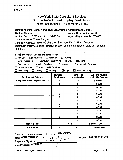### **FORM B**

 $\sim$   $\sim$   $\sim$   $\sim$ 

|                                                                                                                                                                                                                                                                                                                                                                         |                                                                  | <b>New York State Consultant Services</b><br><b>Contractor's Annual Employment Report</b><br>Report Period: April 1, 2019 to March 31, 2020 |                                                    |  |
|-------------------------------------------------------------------------------------------------------------------------------------------------------------------------------------------------------------------------------------------------------------------------------------------------------------------------------------------------------------------------|------------------------------------------------------------------|---------------------------------------------------------------------------------------------------------------------------------------------|----------------------------------------------------|--|
| Contracting State Agency Name: NYS Department of Agriculture and Markets<br><b>Contract Number:</b><br>Contract Term: 1/1/20 20<br>to 12/31/202心<br>Contractor Name: Trace First, Inc.<br>Contractor Address: 2850 McClelland Dr, Ste 2700, Fort Collins CO 80525<br>Description of Services Being Provided: Support and maintenance of state animal health<br>database |                                                                  | <b>Agency Business Unit: AGM01</b><br>Agency Department ID: 3000000                                                                         |                                                    |  |
| Scope of Contract (Choose one that best fits):<br>$\Box$ Evaluation<br>$\Box$ Analysis<br>□ Computer Programming<br>Data Processing<br>Engineering<br><b>Architect Services</b><br><b>Health Services</b><br>Mental Health Services<br>$\Box$ Accounting<br>Auditing                                                                                                    | Research<br>$\Box$ Surveying<br>$\Box$ Legal<br>$\Box$ Paralegal | Training<br>Other IT consulting<br><b>Environmental Services</b><br>$\Box$ Other Consulting                                                 |                                                    |  |
| <b>Employment Category</b>                                                                                                                                                                                                                                                                                                                                              | <b>Number of</b><br><b>Employees</b>                             | <b>Number of</b><br><b>Hours Worked</b>                                                                                                     | <b>Amount Payable</b><br><b>Under the Contract</b> |  |
| Computer System Analyst 15-1051.00                                                                                                                                                                                                                                                                                                                                      | 1                                                                | 712                                                                                                                                         | \$89,000.00                                        |  |
|                                                                                                                                                                                                                                                                                                                                                                         | 0                                                                | 0                                                                                                                                           | \$0.00                                             |  |
|                                                                                                                                                                                                                                                                                                                                                                         | $\Omega$                                                         | 0                                                                                                                                           | \$0.00                                             |  |
|                                                                                                                                                                                                                                                                                                                                                                         | 0                                                                | 0                                                                                                                                           | \$0.00                                             |  |
| $\mathbf 0$<br>\$0.00<br>$\mathbf 0$                                                                                                                                                                                                                                                                                                                                    |                                                                  |                                                                                                                                             |                                                    |  |
| $\Omega$<br>$\mathbf 0$<br>\$0.00                                                                                                                                                                                                                                                                                                                                       |                                                                  |                                                                                                                                             |                                                    |  |
|                                                                                                                                                                                                                                                                                                                                                                         | $\mathbf 0$                                                      | 0                                                                                                                                           | \$0.00                                             |  |
|                                                                                                                                                                                                                                                                                                                                                                         | 0                                                                | $\Omega$                                                                                                                                    | \$0.00                                             |  |
|                                                                                                                                                                                                                                                                                                                                                                         | $\mathbf 0$                                                      | 0                                                                                                                                           | \$0.00                                             |  |
|                                                                                                                                                                                                                                                                                                                                                                         | $\mathbf 0$                                                      | $\mathbf 0$                                                                                                                                 | \$0.00                                             |  |
|                                                                                                                                                                                                                                                                                                                                                                         | 0                                                                | 0                                                                                                                                           | \$0.00                                             |  |
|                                                                                                                                                                                                                                                                                                                                                                         | $\mathbf 0$                                                      | 0                                                                                                                                           | \$0.00                                             |  |
|                                                                                                                                                                                                                                                                                                                                                                         | $\mathbf 0$                                                      | $\mathbf 0$                                                                                                                                 | \$0.00                                             |  |
| <b>Total this Page</b>                                                                                                                                                                                                                                                                                                                                                  | 1                                                                | 712                                                                                                                                         | \$89,000.00                                        |  |
| <b>Grand Total</b>                                                                                                                                                                                                                                                                                                                                                      | 1                                                                | 712                                                                                                                                         | \$89,000.00                                        |  |

**Elita Danilyuk Name of person who prepared this report;**

 $\mathcal{L}% _{M_{1},M_{2}}^{\alpha,\beta}(\varepsilon)=\mathcal{L}_{M_{1},M_{2}}^{\alpha,\beta}(\varepsilon)$ 

**Title; Manager**

**Preparer's Signature;**

**Date Prepared; 4/29/2020**

 $1, e$ 

(Use additional pages, if necessary) Page **<sup>1</sup>** of **<sup>1</sup>**

 $\frac{1}{2}$ 

**Phone** #; **253-218-6700 x738**